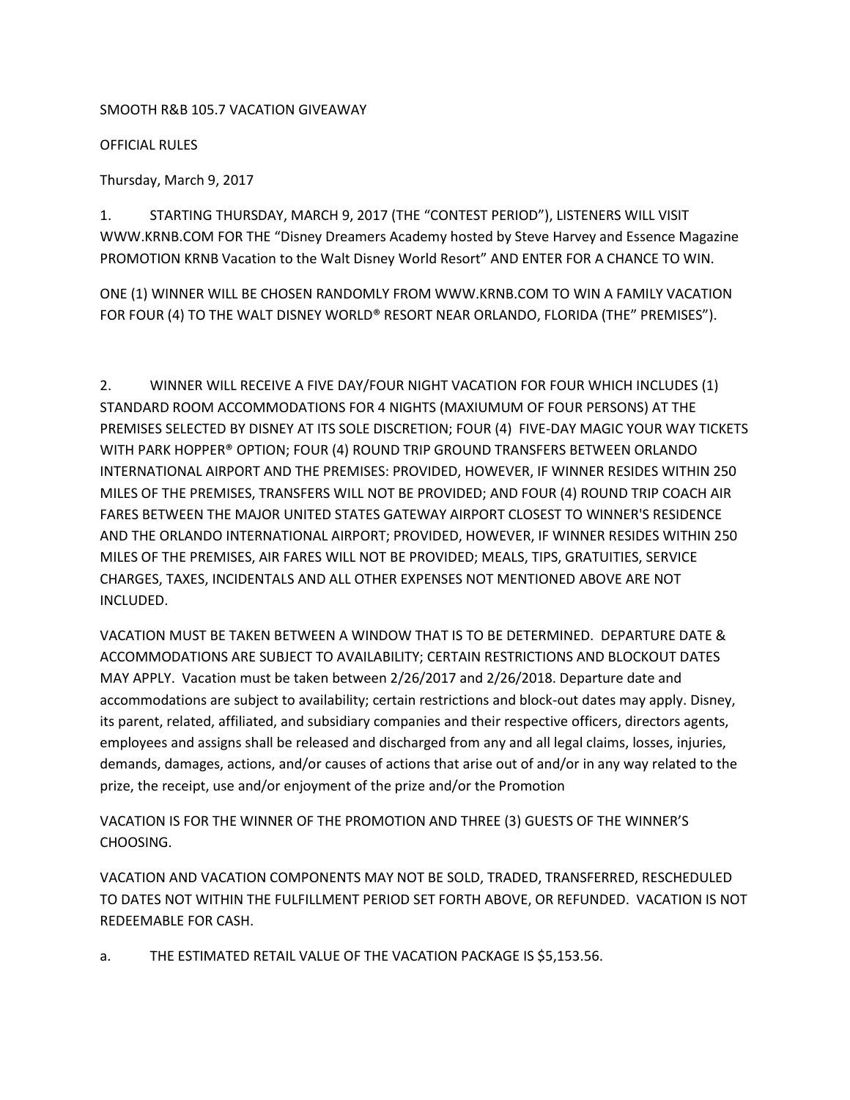## SMOOTH R&B 105.7 VACATION GIVEAWAY

OFFICIAL RULES

Thursday, March 9, 2017

1. STARTING THURSDAY, MARCH 9, 2017 (THE "CONTEST PERIOD"), LISTENERS WILL VISIT WWW.KRNB.COM FOR THE "Disney Dreamers Academy hosted by Steve Harvey and Essence Magazine PROMOTION KRNB Vacation to the Walt Disney World Resort" AND ENTER FOR A CHANCE TO WIN.

ONE (1) WINNER WILL BE CHOSEN RANDOMLY FROM WWW.KRNB.COM TO WIN A FAMILY VACATION FOR FOUR (4) TO THE WALT DISNEY WORLD® RESORT NEAR ORLANDO, FLORIDA (THE" PREMISES").

2. WINNER WILL RECEIVE A FIVE DAY/FOUR NIGHT VACATION FOR FOUR WHICH INCLUDES (1) STANDARD ROOM ACCOMMODATIONS FOR 4 NIGHTS (MAXIUMUM OF FOUR PERSONS) AT THE PREMISES SELECTED BY DISNEY AT ITS SOLE DISCRETION; FOUR (4) FIVE-DAY MAGIC YOUR WAY TICKETS WITH PARK HOPPER® OPTION; FOUR (4) ROUND TRIP GROUND TRANSFERS BETWEEN ORLANDO INTERNATIONAL AIRPORT AND THE PREMISES: PROVIDED, HOWEVER, IF WINNER RESIDES WITHIN 250 MILES OF THE PREMISES, TRANSFERS WILL NOT BE PROVIDED; AND FOUR (4) ROUND TRIP COACH AIR FARES BETWEEN THE MAJOR UNITED STATES GATEWAY AIRPORT CLOSEST TO WINNER'S RESIDENCE AND THE ORLANDO INTERNATIONAL AIRPORT; PROVIDED, HOWEVER, IF WINNER RESIDES WITHIN 250 MILES OF THE PREMISES, AIR FARES WILL NOT BE PROVIDED; MEALS, TIPS, GRATUITIES, SERVICE CHARGES, TAXES, INCIDENTALS AND ALL OTHER EXPENSES NOT MENTIONED ABOVE ARE NOT INCLUDED.

VACATION MUST BE TAKEN BETWEEN A WINDOW THAT IS TO BE DETERMINED. DEPARTURE DATE & ACCOMMODATIONS ARE SUBJECT TO AVAILABILITY; CERTAIN RESTRICTIONS AND BLOCKOUT DATES MAY APPLY. Vacation must be taken between 2/26/2017 and 2/26/2018. Departure date and accommodations are subject to availability; certain restrictions and block-out dates may apply. Disney, its parent, related, affiliated, and subsidiary companies and their respective officers, directors agents, employees and assigns shall be released and discharged from any and all legal claims, losses, injuries, demands, damages, actions, and/or causes of actions that arise out of and/or in any way related to the prize, the receipt, use and/or enjoyment of the prize and/or the Promotion

VACATION IS FOR THE WINNER OF THE PROMOTION AND THREE (3) GUESTS OF THE WINNER'S CHOOSING.

VACATION AND VACATION COMPONENTS MAY NOT BE SOLD, TRADED, TRANSFERRED, RESCHEDULED TO DATES NOT WITHIN THE FULFILLMENT PERIOD SET FORTH ABOVE, OR REFUNDED. VACATION IS NOT REDEEMABLE FOR CASH.

a. THE ESTIMATED RETAIL VALUE OF THE VACATION PACKAGE IS \$5,153.56.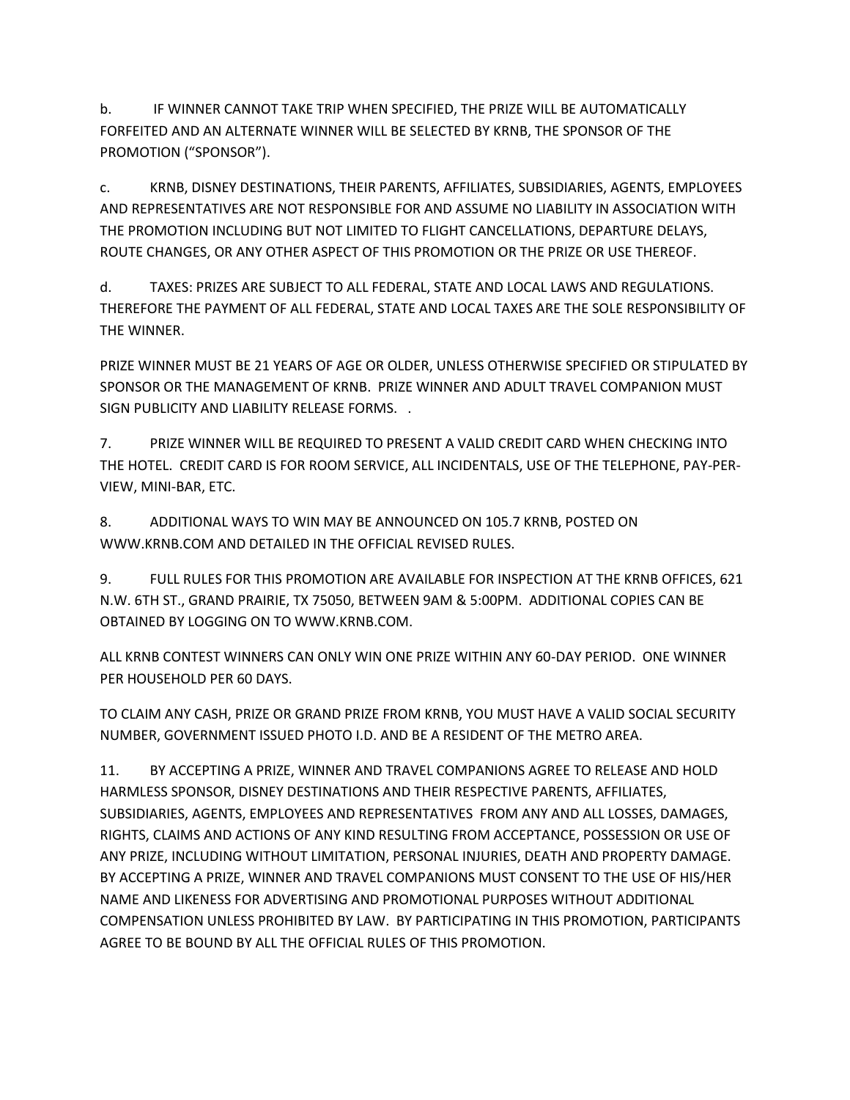b. IF WINNER CANNOT TAKE TRIP WHEN SPECIFIED, THE PRIZE WILL BE AUTOMATICALLY FORFEITED AND AN ALTERNATE WINNER WILL BE SELECTED BY KRNB, THE SPONSOR OF THE PROMOTION ("SPONSOR").

c. KRNB, DISNEY DESTINATIONS, THEIR PARENTS, AFFILIATES, SUBSIDIARIES, AGENTS, EMPLOYEES AND REPRESENTATIVES ARE NOT RESPONSIBLE FOR AND ASSUME NO LIABILITY IN ASSOCIATION WITH THE PROMOTION INCLUDING BUT NOT LIMITED TO FLIGHT CANCELLATIONS, DEPARTURE DELAYS, ROUTE CHANGES, OR ANY OTHER ASPECT OF THIS PROMOTION OR THE PRIZE OR USE THEREOF.

d. TAXES: PRIZES ARE SUBJECT TO ALL FEDERAL, STATE AND LOCAL LAWS AND REGULATIONS. THEREFORE THE PAYMENT OF ALL FEDERAL, STATE AND LOCAL TAXES ARE THE SOLE RESPONSIBILITY OF THE WINNER.

PRIZE WINNER MUST BE 21 YEARS OF AGE OR OLDER, UNLESS OTHERWISE SPECIFIED OR STIPULATED BY SPONSOR OR THE MANAGEMENT OF KRNB. PRIZE WINNER AND ADULT TRAVEL COMPANION MUST SIGN PUBLICITY AND LIABILITY RELEASE FORMS. .

7. PRIZE WINNER WILL BE REQUIRED TO PRESENT A VALID CREDIT CARD WHEN CHECKING INTO THE HOTEL. CREDIT CARD IS FOR ROOM SERVICE, ALL INCIDENTALS, USE OF THE TELEPHONE, PAY-PER-VIEW, MINI-BAR, ETC.

8. ADDITIONAL WAYS TO WIN MAY BE ANNOUNCED ON 105.7 KRNB, POSTED ON WWW.KRNB.COM AND DETAILED IN THE OFFICIAL REVISED RULES.

9. FULL RULES FOR THIS PROMOTION ARE AVAILABLE FOR INSPECTION AT THE KRNB OFFICES, 621 N.W. 6TH ST., GRAND PRAIRIE, TX 75050, BETWEEN 9AM & 5:00PM. ADDITIONAL COPIES CAN BE OBTAINED BY LOGGING ON TO WWW.KRNB.COM.

ALL KRNB CONTEST WINNERS CAN ONLY WIN ONE PRIZE WITHIN ANY 60-DAY PERIOD. ONE WINNER PER HOUSEHOLD PER 60 DAYS.

TO CLAIM ANY CASH, PRIZE OR GRAND PRIZE FROM KRNB, YOU MUST HAVE A VALID SOCIAL SECURITY NUMBER, GOVERNMENT ISSUED PHOTO I.D. AND BE A RESIDENT OF THE METRO AREA.

11. BY ACCEPTING A PRIZE, WINNER AND TRAVEL COMPANIONS AGREE TO RELEASE AND HOLD HARMLESS SPONSOR, DISNEY DESTINATIONS AND THEIR RESPECTIVE PARENTS, AFFILIATES, SUBSIDIARIES, AGENTS, EMPLOYEES AND REPRESENTATIVES FROM ANY AND ALL LOSSES, DAMAGES, RIGHTS, CLAIMS AND ACTIONS OF ANY KIND RESULTING FROM ACCEPTANCE, POSSESSION OR USE OF ANY PRIZE, INCLUDING WITHOUT LIMITATION, PERSONAL INJURIES, DEATH AND PROPERTY DAMAGE. BY ACCEPTING A PRIZE, WINNER AND TRAVEL COMPANIONS MUST CONSENT TO THE USE OF HIS/HER NAME AND LIKENESS FOR ADVERTISING AND PROMOTIONAL PURPOSES WITHOUT ADDITIONAL COMPENSATION UNLESS PROHIBITED BY LAW. BY PARTICIPATING IN THIS PROMOTION, PARTICIPANTS AGREE TO BE BOUND BY ALL THE OFFICIAL RULES OF THIS PROMOTION.